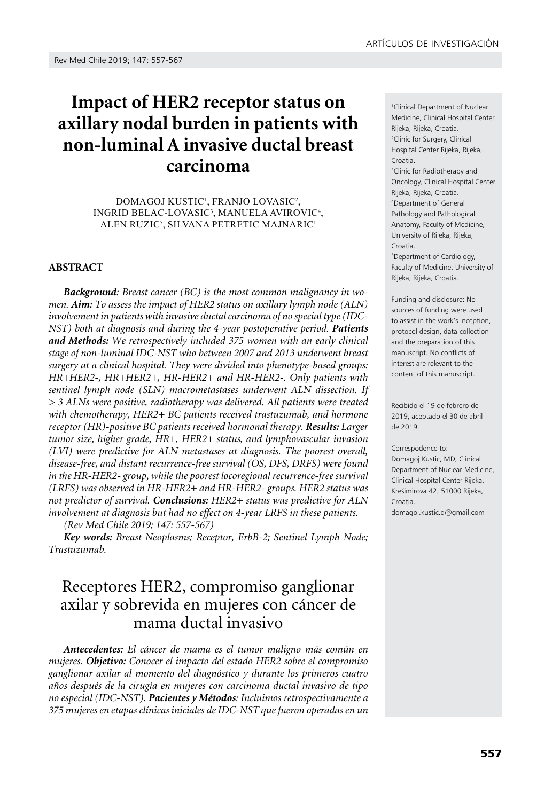# **Impact of HER2 receptor status on axillary nodal burden in patients with non-luminal A invasive ductal breast carcinoma**

Domagoj Kustic1 , Franjo Lovasic2 , Ingrid Belac-Lovasic3 , Manuela Avirovic4 , Alen Ruzic5 , Silvana Petretic Majnaric1

### **ABSTRACT**

*Background: Breast cancer (BC) is the most common malignancy in women. Aim: To assess the impact of HER2 status on axillary lymph node (ALN) involvement in patients with invasive ductal carcinoma of no special type (IDC-NST)* both at diagnosis and during the 4-year postoperative period. Patients *and Methods: We retrospectively included 375 women with an early clinical stage of non-luminal IDC-NST who between 2007 and 2013 underwent breast surgery at a clinical hospital. They were divided into phenotype-based groups: HR+HER2-, HR+HER2+, HR-HER2+ and HR-HER2-. Only patients with sentinel lymph node (SLN) macrometastases underwent ALN dissection. If > 3 ALNs were positive, radiotherapy was delivered. All patients were treated with chemotherapy, HER2+ BC patients received trastuzumab, and hormone receptor (HR)-positive BC patients received hormonal therapy. Results: Larger tumor size, higher grade, HR+, HER2+ status, and lymphovascular invasion (LVI) were predictive for ALN metastases at diagnosis. The poorest overall, disease-free, and distant recurrence-free survival (OS, DFS, DRFS) were found in the HR-HER2- group, while the poorest locoregional recurrence-free survival (LRFS) was observed in HR-HER2+ and HR-HER2- groups. HER2 status was not predictor of survival. Conclusions: HER2+ status was predictive for ALN involvement at diagnosis but had no effect on 4-year LRFS in these patients.* 

*(Rev Med Chile 2019; 147: 557-567)* 

*Key words: Breast Neoplasms; Receptor, ErbB-2; Sentinel Lymph Node; Trastuzumab.* 

# Receptores HER2, compromiso ganglionar axilar y sobrevida en mujeres con cáncer de mama ductal invasivo

*Antecedentes: El cáncer de mama es el tumor maligno más común en mujeres. Objetivo: Conocer el impacto del estado HER2 sobre el compromiso ganglionar axilar al momento del diagnóstico y durante los primeros cuatro años después de la cirugía en mujeres con carcinoma ductal invasivo de tipo no especial (IDC-NST). Pacientes y Métodos: Incluimos retrospectivamente a 375 mujeres en etapas clínicas iniciales de IDC-NST que fueron operadas en un* 

1 Clinical Department of Nuclear Medicine, Clinical Hospital Center Rijeka, Rijeka, Croatia. 2 Clinic for Surgery, Clinical Hospital Center Rijeka, Rijeka, Croatia. 3 Clinic for Radiotherapy and

Oncology, Clinical Hospital Center Rijeka, Rijeka, Croatia. 4 Department of General Pathology and Pathological Anatomy, Faculty of Medicine, University of Rijeka, Rijeka, Croatia.

5 Department of Cardiology, Faculty of Medicine, University of Rijeka, Rijeka, Croatia.

Funding and disclosure: No sources of funding were used to assist in the work's inception, protocol design, data collection and the preparation of this manuscript. No conflicts of interest are relevant to the content of this manuscript.

Recibido el 19 de febrero de 2019, aceptado el 30 de abril de 2019.

#### Correspodence to:

Domagoj Kustic, MD, Clinical Department of Nuclear Medicine, Clinical Hospital Center Rijeka, Krešimirova 42, 51000 Rijeka, Croatia.

[domagoj.kustic.d@gmail.com](mailto:domagoj.kustic.d@gmail.com)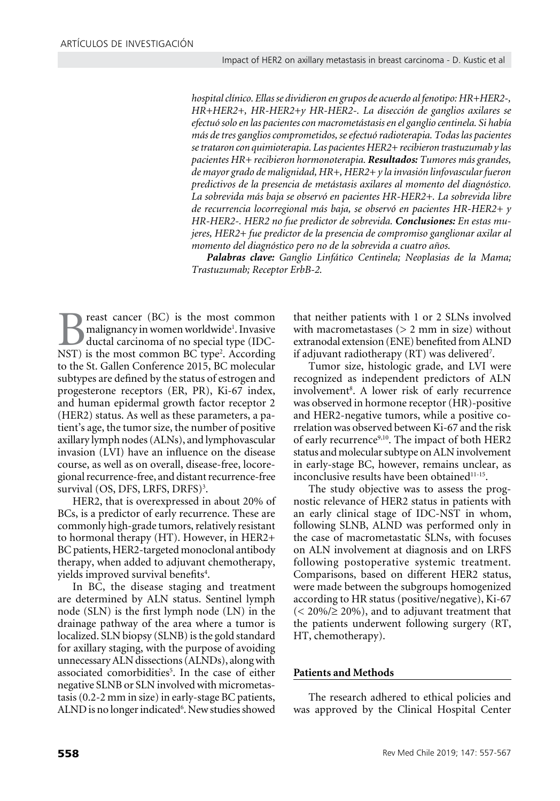*hospital clínico. Ellas se dividieron en grupos de acuerdo al fenotipo: HR+HER2-, HR+HER2+, HR-HER2+y HR-HER2-. La disección de ganglios axilares se efectuó solo en las pacientes con macrometástasis en el ganglio centinela. Si había más de tres ganglios comprometidos, se efectuó radioterapia. Todas las pacientes se trataron con quimioterapia. Las pacientes HER2+ recibieron trastuzumab y las pacientes HR+ recibieron hormonoterapia. Resultados: Tumores más grandes, de mayor grado de malignidad, HR+, HER2+ y la invasión linfovascular fueron predictivos de la presencia de metástasis axilares al momento del diagnóstico. La sobrevida más baja se observó en pacientes HR-HER2+. La sobrevida libre de recurrencia locorregional más baja, se observó en pacientes HR-HER2+ y HR-HER2-. HER2 no fue predictor de sobrevida. Conclusiones: En estas mujeres, HER2+ fue predictor de la presencia de compromiso ganglionar axilar al momento del diagnóstico pero no de la sobrevida a cuatro años.*

*Palabras clave: Ganglio Linfático Centinela; Neoplasias de la Mama; Trastuzumab; Receptor ErbB-2.*

**Breast cancer (BC) is the most common malignancy in women worldwide'. Invasive ductal carcinoma of no special type (IDC-NST) is the most common BC type<sup>2</sup>. According** malignancy in women worldwide<sup>1</sup>. Invasive ductal carcinoma of no special type (IDC-NST) is the most common BC type<sup>2</sup>. According to the St. Gallen Conference 2015, BC molecular subtypes are defined by the status of estrogen and progesterone receptors (ER, PR), Ki-67 index, and human epidermal growth factor receptor 2 (HER2) status. As well as these parameters, a patient's age, the tumor size, the number of positive axillary lymph nodes (ALNs), and lymphovascular invasion (LVI) have an influence on the disease course, as well as on overall, disease-free, locoregional recurrence-free, and distant recurrence-free survival (OS, DFS, LRFS, DRFS)<sup>3</sup>.

HER2, that is overexpressed in about 20% of BCs, is a predictor of early recurrence. These are commonly high-grade tumors, relatively resistant to hormonal therapy (HT). However, in HER2+ BC patients, HER2-targeted monoclonal antibody therapy, when added to adjuvant chemotherapy, yields improved survival benefits<sup>4</sup>.

In BC, the disease staging and treatment are determined by ALN status. Sentinel lymph node (SLN) is the first lymph node (LN) in the drainage pathway of the area where a tumor is localized. SLN biopsy (SLNB) is the gold standard for axillary staging, with the purpose of avoiding unnecessary ALN dissections (ALNDs), along with associated comorbidities<sup>5</sup>. In the case of either negative SLNB or SLN involved with micrometastasis (0.2-2 mm in size) in early-stage BC patients, ALND is no longer indicated<sup>6</sup>. New studies showed

that neither patients with 1 or 2 SLNs involved with macrometastases  $(> 2$  mm in size) without extranodal extension (ENE) benefited from ALND if adjuvant radiotherapy (RT) was delivered<sup>7</sup>.

Tumor size, histologic grade, and LVI were recognized as independent predictors of ALN involvement<sup>8</sup>. A lower risk of early recurrence was observed in hormone receptor (HR)-positive and HER2-negative tumors, while a positive correlation was observed between Ki-67 and the risk of early recurrence<sup>9,10</sup>. The impact of both HER2 status and molecular subtype on ALN involvement in early-stage BC, however, remains unclear, as inconclusive results have been obtained<sup>11-15</sup>.

The study objective was to assess the prognostic relevance of HER2 status in patients with an early clinical stage of IDC-NST in whom, following SLNB, ALND was performed only in the case of macrometastatic SLNs, with focuses on ALN involvement at diagnosis and on LRFS following postoperative systemic treatment. Comparisons, based on different HER2 status, were made between the subgroups homogenized according to HR status (positive/negative), Ki-67  $(< 20\% / \geq 20\%)$ , and to adjuvant treatment that the patients underwent following surgery (RT, HT, chemotherapy).

## **Patients and Methods**

The research adhered to ethical policies and was approved by the Clinical Hospital Center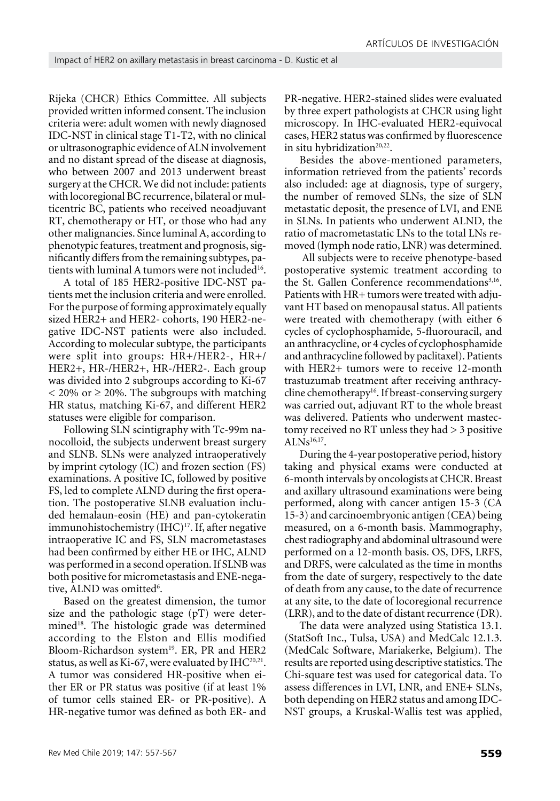Rijeka (CHCR) Ethics Committee. All subjects provided written informed consent. The inclusion criteria were: adult women with newly diagnosed IDC-NST in clinical stage T1-T2, with no clinical or ultrasonographic evidence of ALN involvement and no distant spread of the disease at diagnosis, who between 2007 and 2013 underwent breast surgery at the CHCR. We did not include: patients with locoregional BC recurrence, bilateral or multicentric BC, patients who received neoadjuvant RT, chemotherapy or HT, or those who had any other malignancies. Since luminal A, according to phenotypic features, treatment and prognosis, significantly differs from the remaining subtypes, patients with luminal A tumors were not included<sup>16</sup>.

A total of 185 HER2-positive IDC-NST patients met the inclusion criteria and were enrolled. For the purpose of forming approximately equally sized HER2+ and HER2- cohorts, 190 HER2-negative IDC-NST patients were also included. According to molecular subtype, the participants were split into groups: HR+/HER2-, HR+/ HER2+, HR-/HER2+, HR-/HER2-. Each group was divided into 2 subgroups according to Ki-67  $<$  20% or  $\geq$  20%. The subgroups with matching HR status, matching Ki-67, and different HER2 statuses were eligible for comparison.

Following SLN scintigraphy with Tc-99m nanocolloid, the subjects underwent breast surgery and SLNB. SLNs were analyzed intraoperatively by imprint cytology (IC) and frozen section (FS) examinations. A positive IC, followed by positive FS, led to complete ALND during the first operation. The postoperative SLNB evaluation included hemalaun-eosin (HE) and pan-cytokeratin immunohistochemistry (IHC)<sup>17</sup>. If, after negative intraoperative IC and FS, SLN macrometastases had been confirmed by either HE or IHC, ALND was performed in a second operation. If SLNB was both positive for micrometastasis and ENE-negative, ALND was omitted<sup>6</sup>.

Based on the greatest dimension, the tumor size and the pathologic stage (pT) were determined<sup>18</sup>. The histologic grade was determined according to the Elston and Ellis modified Bloom-Richardson system<sup>19</sup>. ER, PR and HER2 status, as well as Ki-67, were evaluated by  $IHC^{20,21}$ . A tumor was considered HR-positive when either ER or PR status was positive (if at least 1% of tumor cells stained ER- or PR-positive). A HR-negative tumor was defined as both ER- and

PR-negative. HER2-stained slides were evaluated by three expert pathologists at CHCR using light microscopy. In IHC-evaluated HER2-equivocal cases, HER2 status was confirmed by fluorescence in situ hybridization<sup>20,22</sup>.

Besides the above-mentioned parameters, information retrieved from the patients' records also included: age at diagnosis, type of surgery, the number of removed SLNs, the size of SLN metastatic deposit, the presence of LVI, and ENE in SLNs. In patients who underwent ALND, the ratio of macrometastatic LNs to the total LNs removed (lymph node ratio, LNR) was determined.

 All subjects were to receive phenotype-based postoperative systemic treatment according to the St. Gallen Conference recommendations<sup>3,16</sup>. Patients with HR+ tumors were treated with adjuvant HT based on menopausal status. All patients were treated with chemotherapy (with either 6 cycles of cyclophosphamide, 5-fluorouracil, and an anthracycline, or 4 cycles of cyclophosphamide and anthracycline followed by paclitaxel). Patients with HER2+ tumors were to receive 12-month trastuzumab treatment after receiving anthracycline chemotherapy<sup>16</sup>. If breast-conserving surgery was carried out, adjuvant RT to the whole breast was delivered. Patients who underwent mastectomy received no RT unless they had > 3 positive  $ALNs^{16,17}$ .

During the 4-year postoperative period, history taking and physical exams were conducted at 6-month intervals by oncologists at CHCR. Breast and axillary ultrasound examinations were being performed, along with cancer antigen 15-3 (CA 15-3) and carcinoembryonic antigen (CEA) being measured, on a 6-month basis. Mammography, chest radiography and abdominal ultrasound were performed on a 12-month basis. OS, DFS, LRFS, and DRFS, were calculated as the time in months from the date of surgery, respectively to the date of death from any cause, to the date of recurrence at any site, to the date of locoregional recurrence (LRR), and to the date of distant recurrence (DR).

The data were analyzed using Statistica 13.1. (StatSoft Inc., Tulsa, USA) and MedCalc 12.1.3. (MedCalc Software, Mariakerke, Belgium). The results are reported using descriptive statistics. The Chi-square test was used for categorical data. To assess differences in LVI, LNR, and ENE+ SLNs, both depending on HER2 status and among IDC-NST groups, a Kruskal-Wallis test was applied,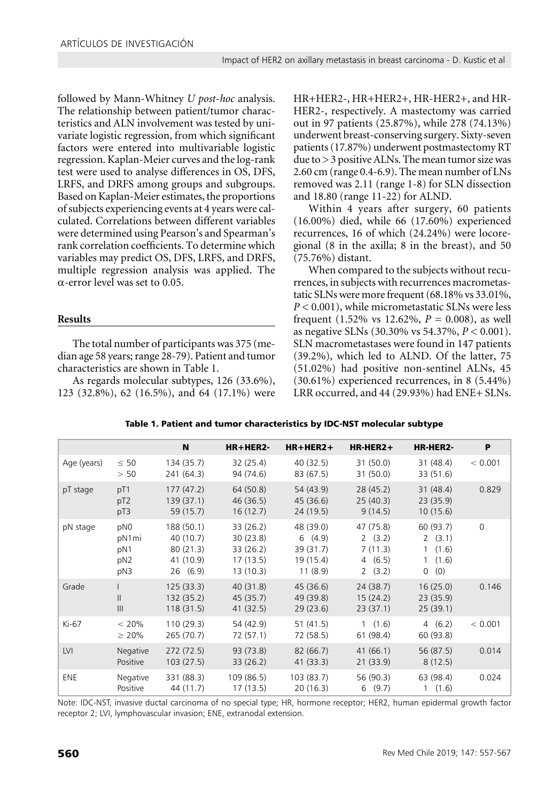followed by Mann-Whitney *U post-hoc* analysis. The relationship between patient/tumor characteristics and ALN involvement was tested by univariate logistic regression, from which significant factors were entered into multivariable logistic regression. Kaplan-Meier curves and the log-rank test were used to analyse differences in OS, DFS, LRFS, and DRFS among groups and subgroups. Based on Kaplan-Meier estimates, the proportions of subjects experiencing events at 4 years were calculated. Correlations between different variables were determined using Pearson's and Spearman's rank correlation coefficients. To determine which variables may predict OS, DFS, LRFS, and DRFS, multiple regression analysis was applied. The α-error level was set to 0.05.

# **Results**

The total number of participants was 375 (median age 58 years; range 28-79). Patient and tumor characteristics are shown in Table 1.

As regards molecular subtypes, 126 (33.6%), 123 (32.8%), 62 (16.5%), and 64 (17.1%) were HR+HER2-, HR+HER2+, HR-HER2+, and HR-HER2-, respectively. A mastectomy was carried out in 97 patients (25.87%), while 278 (74.13%) underwent breast-conserving surgery. Sixty-seven patients (17.87%) underwent postmastectomy RT due to >3 positive ALNs. The mean tumor size was 2.60 cm (range 0.4-6.9). The mean number of LNs removed was 2.11 (range 1-8) for SLN dissection and 18.80 (range 11-22) for ALND.

Within 4 years after surgery, 60 patients (16.00%) died, while 66 (17.60%) experienced recurrences, 16 of which (24.24%) were locoregional (8 in the axilla; 8 in the breast), and 50 (75.76%) distant.

When compared to the subjects without recurrences, in subjects with recurrences macrometastatic SLNs were more frequent (68.18% vs 33.01%, *P* < 0.001), while micrometastatic SLNs were less frequent  $(1.52\% \text{ vs } 12.62\% , P = 0.008)$ , as well as negative SLNs (30.30% vs 54.37%, *P* < 0.001). SLN macrometastases were found in 147 patients (39.2%), which led to ALND. Of the latter, 75 (51.02%) had positive non-sentinel ALNs, 45 (30.61%) experienced recurrences, in 8 (5.44%) LRR occurred, and 44 (29.93%) had ENE+ SLNs.

|             |                                               | N                                                           | HR+HER2-                                                   | $HR + HER2 +$                                            | $HR-HER2+$                                         | HR-HER2-                                                                          | P           |
|-------------|-----------------------------------------------|-------------------------------------------------------------|------------------------------------------------------------|----------------------------------------------------------|----------------------------------------------------|-----------------------------------------------------------------------------------|-------------|
| Age (years) | $\leq 50$<br>> 50                             | 134 (35.7)<br>241 (64.3)                                    | 32 (25.4)<br>94 (74.6)                                     | 40 (32.5)<br>83 (67.5)                                   | 31 (50.0)<br>31(50.0)                              | 31 (48.4)<br>33 (51.6)                                                            | < 0.001     |
| pT stage    | pT1<br>pT <sub>2</sub><br>pT3                 | 177(47.2)<br>139(37.1)<br>59 (15.7)                         | 64 (50.8)<br>46 (36.5)<br>16(12.7)                         | 54 (43.9)<br>45(36.6)<br>24(19.5)                        | 28(45.2)<br>25(40.3)<br>9(14.5)                    | 31(48.4)<br>23(35.9)<br>10(15.6)                                                  | 0.829       |
| pN stage    | pN0<br>pN1mi<br>pN1<br>pN <sub>2</sub><br>pN3 | 188 (50.1)<br>40 (10.7)<br>80(21.3)<br>41 (10.9)<br>26(6.9) | 33 (26.2)<br>30(23.8)<br>33 (26.2)<br>17(13.5)<br>13(10.3) | 48 (39.0)<br>6(4.9)<br>39 (31.7)<br>19 (15.4)<br>11(8.9) | 47 (75.8)<br>2(3.2)<br>7(11.3)<br>4(6.5)<br>2(3.2) | 60 (93.7)<br>2(3.1)<br>(1.6)<br>$\mathbf{1}$<br>(1.6)<br>$\mathbf{1}$<br>(0)<br>0 | $\mathbf 0$ |
| Grade       | $\mathsf{II}$<br>III                          | 125(33.3)<br>132(35.2)<br>118(31.5)                         | 40(31.8)<br>45(35.7)<br>41 (32.5)                          | 45(36.6)<br>49 (39.8)<br>29(23.6)                        | 24(38.7)<br>15(24.2)<br>23(37.1)                   | 16(25.0)<br>23(35.9)<br>25(39.1)                                                  | 0.146       |
| Ki-67       | $< 20\%$<br>$\geq 20\%$                       | 110(29.3)<br>265 (70.7)                                     | 54 (42.9)<br>72 (57.1)                                     | 51(41.5)<br>72 (58.5)                                    | 1(1.6)<br>61 (98.4)                                | 4(6.2)<br>60 (93.8)                                                               | < 0.001     |
| <b>LVI</b>  | Negative<br>Positive                          | 272(72.5)<br>103(27.5)                                      | 93 (73.8)<br>33(26.2)                                      | 82 (66.7)<br>41(33.3)                                    | 41(66.1)<br>21(33.9)                               | 56 (87.5)<br>8(12.5)                                                              | 0.014       |
| <b>ENE</b>  | Negative<br>Positive                          | 331 (88.3)<br>44 (11.7)                                     | 109 (86.5)<br>17(13.5)                                     | 103(83.7)<br>20(16.3)                                    | 56 (90.3)<br>6(9.7)                                | 63 (98.4)<br>1(1.6)                                                               | 0.024       |

Table 1. Patient and tumor characteristics by IDC-NST molecular subtype

Note: IDC-NST, invasive ductal carcinoma of no special type; HR, hormone receptor; HER2, human epidermal growth factor receptor 2; LVI, lymphovascular invasion; ENE, extranodal extension.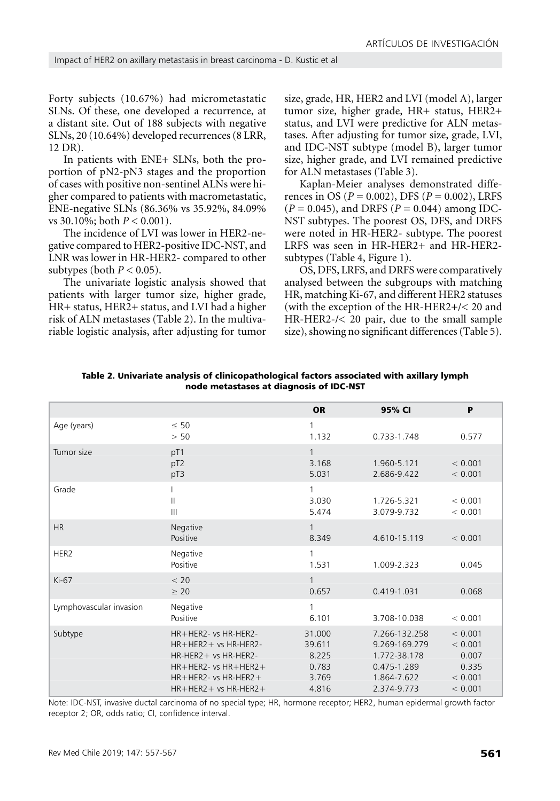Forty subjects (10.67%) had micrometastatic SLNs. Of these, one developed a recurrence, at a distant site. Out of 188 subjects with negative SLNs, 20 (10.64%) developed recurrences (8 LRR, 12 DR).

In patients with ENE+ SLNs, both the proportion of pN2-pN3 stages and the proportion of cases with positive non-sentinel ALNs were higher compared to patients with macrometastatic, ENE-negative SLNs (86.36% vs 35.92%, 84.09% vs 30.10%; both *P* < 0.001).

The incidence of LVI was lower in HER2-negative compared to HER2-positive IDC-NST, and LNR was lower in HR-HER2- compared to other subtypes (both  $P < 0.05$ ).

The univariate logistic analysis showed that patients with larger tumor size, higher grade, HR+ status, HER2+ status, and LVI had a higher risk of ALN metastases (Table 2). In the multivariable logistic analysis, after adjusting for tumor size, grade, HR, HER2 and LVI (model A), larger tumor size, higher grade, HR+ status, HER2+ status, and LVI were predictive for ALN metastases. After adjusting for tumor size, grade, LVI, and IDC-NST subtype (model B), larger tumor size, higher grade, and LVI remained predictive for ALN metastases (Table 3).

Kaplan-Meier analyses demonstrated differences in OS (*P* = 0.002), DFS (*P* = 0.002), LRFS (*P* = 0.045), and DRFS (*P* = 0.044) among IDC-NST subtypes. The poorest OS, DFS, and DRFS were noted in HR-HER2- subtype. The poorest LRFS was seen in HR-HER2+ and HR-HER2 subtypes (Table 4, Figure 1).

OS, DFS, LRFS, and DRFS were comparatively analysed between the subgroups with matching HR, matching Ki-67, and different HER2 statuses (with the exception of the HR-HER2+/< 20 and HR-HER2-/< 20 pair, due to the small sample size), showing no significant differences (Table 5).

|                         |                                                                                                                                                                            | <b>OR</b>                                            | 95% CI                                                                                      | P                                                          |
|-------------------------|----------------------------------------------------------------------------------------------------------------------------------------------------------------------------|------------------------------------------------------|---------------------------------------------------------------------------------------------|------------------------------------------------------------|
| Age (years)             | $\leq 50$<br>> 50                                                                                                                                                          | 1<br>1.132                                           | 0.733-1.748                                                                                 | 0.577                                                      |
| Tumor size              | pT1<br>pT <sub>2</sub><br>pT3                                                                                                                                              | 3.168<br>5.031                                       | 1.960-5.121<br>2.686-9.422                                                                  | < 0.001<br>< 0.001                                         |
| Grade                   | $\mathbf{  }$<br>$\mathbf{III}$                                                                                                                                            | 1<br>3.030<br>5.474                                  | 1.726-5.321<br>3.079-9.732                                                                  | < 0.001<br>< 0.001                                         |
| <b>HR</b>               | Negative<br>Positive                                                                                                                                                       | 1<br>8.349                                           | 4.610-15.119                                                                                | < 0.001                                                    |
| HER2                    | Negative<br>Positive                                                                                                                                                       | 1<br>1.531                                           | 1.009-2.323                                                                                 | 0.045                                                      |
| $Ki-67$                 | < 20<br>$\geq 20$                                                                                                                                                          | $\mathbf{1}$<br>0.657                                | 0.419-1.031                                                                                 | 0.068                                                      |
| Lymphovascular invasion | Negative<br>Positive                                                                                                                                                       | 1<br>6.101                                           | 3.708-10.038                                                                                | < 0.001                                                    |
| Subtype                 | HR+HER2- vs HR-HER2-<br>$HR + HER2 + vs HR-HER2 -$<br>$HR-HER2 + vs HR-HER2 -$<br>$HR + HER2 - vs HR + HER2 +$<br>$HR + HER2 - vs HR-HER2 +$<br>$HR + HER2 + vs HR-HER2 +$ | 31.000<br>39.611<br>8.225<br>0.783<br>3.769<br>4.816 | 7.266-132.258<br>9.269-169.279<br>1.772-38.178<br>0.475-1.289<br>1.864-7.622<br>2.374-9.773 | < 0.001<br>< 0.001<br>0.007<br>0.335<br>< 0.001<br>< 0.001 |

Table 2. Univariate analysis of clinicopathological factors associated with axillary lymph node metastases at diagnosis of IDC-NST

Note: IDC-NST, invasive ductal carcinoma of no special type; HR, hormone receptor; HER2, human epidermal growth factor receptor 2; OR, odds ratio; CI, confidence interval.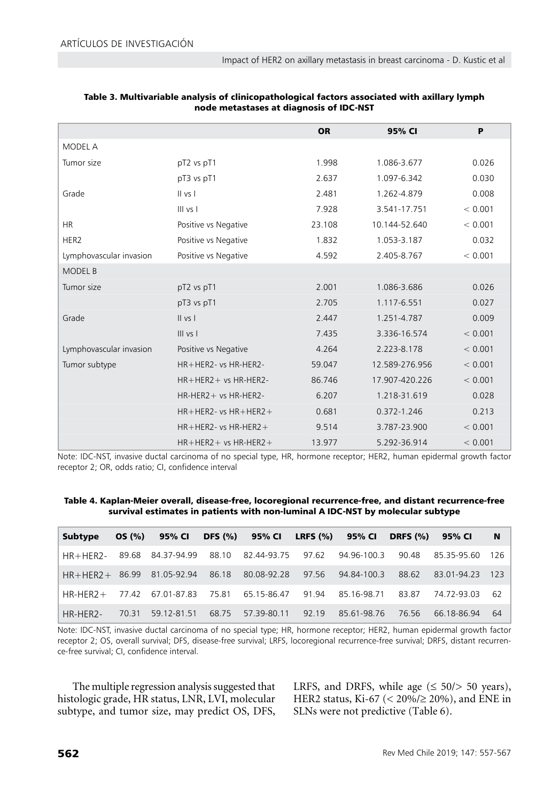|                         |                              | <b>OR</b> | 95% CI         | P       |
|-------------------------|------------------------------|-----------|----------------|---------|
| <b>MODEL A</b>          |                              |           |                |         |
| Tumor size              | pT2 vs pT1                   | 1.998     | 1.086-3.677    | 0.026   |
|                         | pT3 vs pT1                   | 2.637     | 1.097-6.342    | 0.030   |
| Grade                   | II vs I                      | 2.481     | 1.262-4.879    | 0.008   |
|                         | $III$ vs $I$                 | 7.928     | 3.541-17.751   | < 0.001 |
| <b>HR</b>               | Positive vs Negative         | 23.108    | 10.144-52.640  | < 0.001 |
| HER2                    | Positive vs Negative         | 1.832     | 1.053-3.187    | 0.032   |
| Lymphovascular invasion | Positive vs Negative         | 4.592     | 2.405-8.767    | < 0.001 |
| <b>MODEL B</b>          |                              |           |                |         |
| Tumor size              | pT2 vs pT1                   | 2.001     | 1.086-3.686    | 0.026   |
|                         | pT3 vs pT1                   | 2.705     | 1.117-6.551    | 0.027   |
| Grade                   | II vs I                      | 2.447     | 1.251-4.787    | 0.009   |
|                         | $III$ vs $I$                 | 7.435     | 3.336-16.574   | < 0.001 |
| Lymphovascular invasion | Positive vs Negative         | 4.264     | 2.223-8.178    | < 0.001 |
| Tumor subtype           | HR+HER2- vs HR-HER2-         | 59.047    | 12.589-276.956 | < 0.001 |
|                         | $HR + HER2 + vs HR-HER2 -$   | 86.746    | 17.907-420.226 | < 0.001 |
|                         | HR-HER2+ vs HR-HER2-         | 6.207     | 1.218-31.619   | 0.028   |
|                         | $HR + HER2 - vs HR + HER2 +$ | 0.681     | 0.372-1.246    | 0.213   |
|                         | $HR + HER2 - vs HR-HER2 +$   | 9.514     | 3.787-23.900   | < 0.001 |
|                         | $HR + HER2 + vs HR-HER2 +$   | 13.977    | 5.292-36.914   | < 0.001 |

| Table 3. Multivariable analysis of clinicopathological factors associated with axillary lymph |
|-----------------------------------------------------------------------------------------------|
| node metastases at diagnosis of IDC-NST                                                       |

Note: IDC-NST, invasive ductal carcinoma of no special type, HR, hormone receptor; HER2, human epidermal growth factor receptor 2; OR, odds ratio; CI, confidence interval

Table 4. Kaplan-Meier overall, disease-free, locoregional recurrence-free, and distant recurrence-free survival estimates in patients with non-luminal A IDC-NST by molecular subtype

| Subtype                          | OS (%) | 95% CI                  |       | DFS (%) 95% CI LRFS (%) 95% CI DRFS (%) |       |                         |       | 95% CI      | <b>N</b> |
|----------------------------------|--------|-------------------------|-------|-----------------------------------------|-------|-------------------------|-------|-------------|----------|
| HR+HFR2- 89.68 84.37-94.99 88.10 |        |                         |       | 82.44-93.75  97.62  94.96-100.3         |       |                         | 90.48 | 85.35-95.60 | -126     |
| $HR+HFR2+$                       | 86.99  | 81.05-92.94 86.18       |       | 80.08-92.28                             |       | 97.56 94.84-100.3       | 88.62 | 83.01-94.23 | - 123    |
| $HR-HFR7+$                       |        | 77.42 67.01-87.83 75.81 |       | 65.15-86.47                             |       | 91.94 85.16-98.71 83.87 |       | 74 72-93 03 | - 62     |
| HR-HER2-                         | 70.31  | 59.12-81.51             | 68.75 | 57.39-80.11                             | 92.19 | 85.61-98.76             | 76.56 | 66.18-86.94 | -64      |

Note: IDC-NST, invasive ductal carcinoma of no special type; HR, hormone receptor; HER2, human epidermal growth factor receptor 2; OS, overall survival; DFS, disease-free survival; LRFS, locoregional recurrence-free survival; DRFS, distant recurrence-free survival; CI, confidence interval.

The multiple regression analysis suggested that histologic grade, HR status, LNR, LVI, molecular subtype, and tumor size, may predict OS, DFS,

LRFS, and DRFS, while age  $(\leq 50 \geq 50$  years), HER2 status, Ki-67 (< 20%/≥ 20%), and ENE in SLNs were not predictive (Table 6).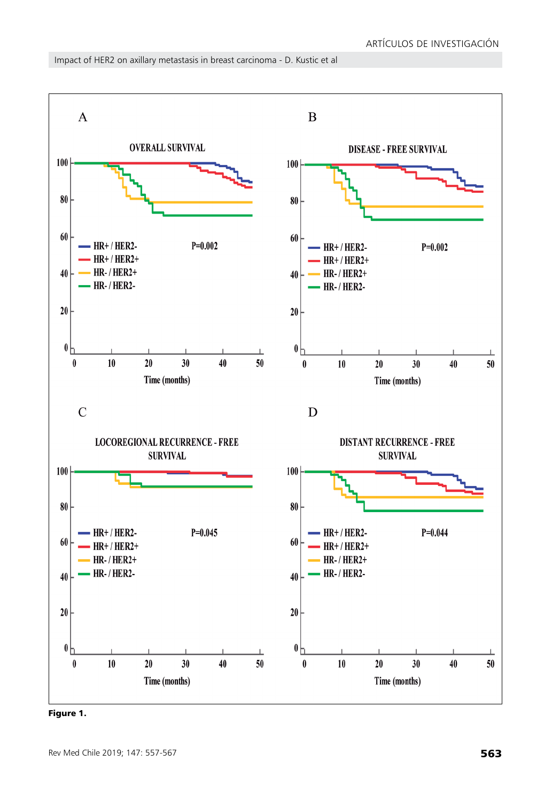



Figure 1.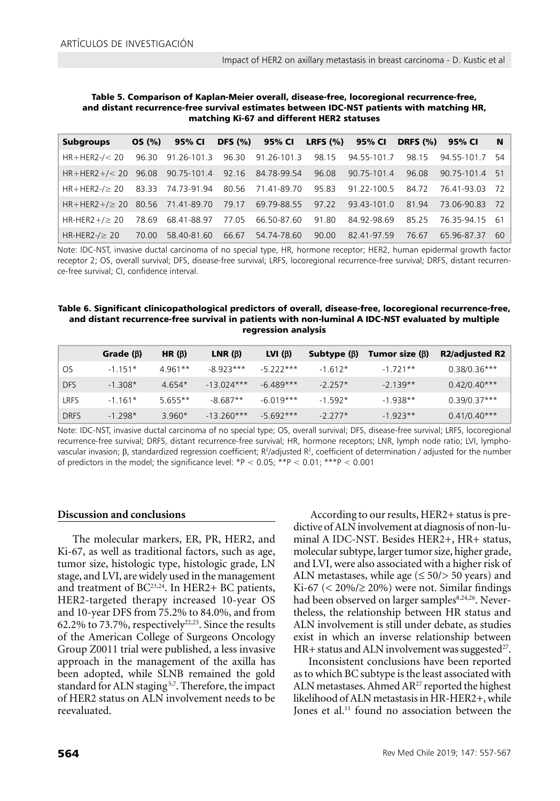| Table 5. Comparison of Kaplan-Meier overall, disease-free, locoregional recurrence-free,  |
|-------------------------------------------------------------------------------------------|
| and distant recurrence-free survival estimates between IDC-NST patients with matching HR, |
| matching Ki-67 and different HER2 statuses                                                |

| <b>Subgroups</b>                                      | OS (%) | 95% CI                        | <b>DFS</b> (%) |                   |       | 95% CI LRFS (%) 95% CI | <b>DRFS (%)</b> | 95% CI         | N   |
|-------------------------------------------------------|--------|-------------------------------|----------------|-------------------|-------|------------------------|-----------------|----------------|-----|
| $HR + HER2 - \leq 20$                                 | 96.30  | 91.26-101.3                   |                | 96.30 91.26-101.3 | 98.15 | 94.55-101.7            | 98.15           | 94.55-101.7 54 |     |
| $HR + HER2 + \frac{3}{20}$ 96.08                      |        | 90.75-101.4 92.16 84.78-99.54 |                |                   | 96.08 | 90.75-101.4            | 96.08           | 90.75-101.4 51 |     |
| $HR+HER2-\geq 20$ 83.33 74.73-91.94 80.56 71.41-89.70 |        |                               |                |                   | 95.83 | 91.22-100.5            | 84.72           | 76.41-93.03 72 |     |
| $HR+HER2+/ \geq 20$ 80.56 71.41-89.70                 |        |                               |                | 79.17 69.79-88.55 | 97.22 | 93.43-101.0            | 81.94           | 73.06-90.83 72 |     |
| HR-HER2+/ $\geq$ 20                                   | 78.69  | 68.41-88.97                   | 77.05          | 66.50-87.60       | 91.80 | 84.92-98.69            | 85.25           | 76 35-94 15 61 |     |
| HR-HER2- $/ \geq 20$                                  | 70.00  | 58.40-81.60                   | 66.67          | 54.74-78.60       | 90.00 | 82.41-97.59            | 76.67           | 65.96-87.37    | 60. |

Note: IDC-NST, invasive ductal carcinoma of no special type, HR, hormone receptor; HER2, human epidermal growth factor receptor 2; OS, overall survival; DFS, disease-free survival; LRFS, locoregional recurrence-free survival; DRFS, distant recurrence-free survival; CI, confidence interval.

### Table 6. Significant clinicopathological predictors of overall, disease-free, locoregional recurrence-free, and distant recurrence-free survival in patients with non-luminal A IDC-NST evaluated by multiple regression analysis

|             | Grade $(\beta)$ | HR $(\beta)$ | LNR $(\beta)$ | LVI $(\beta)$ | Subtype $(\beta)$ | Tumor size $(\beta)$ | <b>R2/adjusted R2</b> |
|-------------|-----------------|--------------|---------------|---------------|-------------------|----------------------|-----------------------|
| .OS         | $-1.151*$       | $4.961**$    | $-8923***$    | $-5.222***$   | $-1.612*$         | $-1721**$            | $0.38/0.36***$        |
| <b>DFS</b>  | $-1.308*$       | $4.654*$     | $-13.024***$  | $-6.489***$   | $-2.257*$         | $-2.139**$           | $0.42/0.40***$        |
| LRFS        | $-1.161*$       | $5.655**$    | $-8.687**$    | $-6.019***$   | $-1.592*$         | $-1.938**$           | $0.39/0.37***$        |
| <b>DRFS</b> | $-1.298*$       | $3960*$      | $-13.260***$  | $-5692***$    | $-2.277*$         | $-1923**$            | $0.41/0.40***$        |

Note: IDC-NST, invasive ductal carcinoma of no special type; OS, overall survival; DFS, disease-free survival; LRFS, locoregional recurrence-free survival; DRFS, distant recurrence-free survival; HR, hormone receptors; LNR, lymph node ratio; LVI, lymphovascular invasion; β, standardized regression coefficient; R<sup>2</sup>/adjusted R<sup>2</sup>, coefficient of determination / adjusted for the number of predictors in the model; the significance level:  $*P < 0.05$ ;  $*P < 0.01$ ;  $*P < 0.001$ 

# **Discussion and conclusions**

The molecular markers, ER, PR, HER2, and Ki-67, as well as traditional factors, such as age, tumor size, histologic type, histologic grade, LN stage, and LVI, are widely used in the management and treatment of BC<sup>23,24</sup>. In HER2+ BC patients, HER2-targeted therapy increased 10-year OS and 10-year DFS from 75.2% to 84.0%, and from 62.2% to 73.7%, respectively<sup>22,25</sup>. Since the results of the American College of Surgeons Oncology Group Z0011 trial were published, a less invasive approach in the management of the axilla has been adopted, while SLNB remained the gold standard for ALN staging<sup>5,7</sup>. Therefore, the impact of HER2 status on ALN involvement needs to be reevaluated.

 According to our results, HER2+ status is predictive of ALN involvement at diagnosis of non-luminal A IDC-NST. Besides HER2+, HR+ status, molecular subtype, larger tumor size, higher grade, and LVI, were also associated with a higher risk of ALN metastases, while age  $(\leq 50/> 50$  years) and Ki-67 ( $<$  20%/ $\ge$  20%) were not. Similar findings had been observed on larger samples<sup>8,24,26</sup>. Nevertheless, the relationship between HR status and ALN involvement is still under debate, as studies exist in which an inverse relationship between HR+ status and ALN involvement was suggested $27$ .

Inconsistent conclusions have been reported as to which BC subtype is the least associated with ALN metastases. Ahmed  $AR^{27}$  reported the highest likelihood of ALN metastasis in HR-HER2+, while Jones et al.<sup>11</sup> found no association between the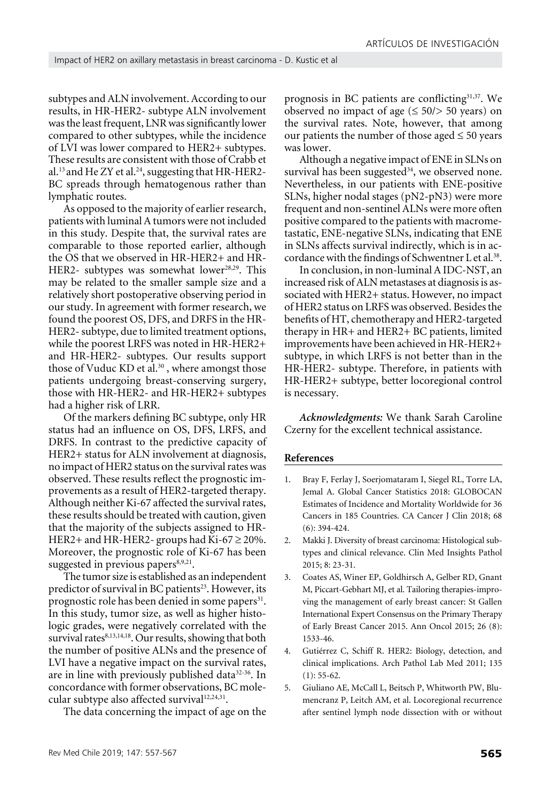subtypes and ALN involvement. According to our results, in HR-HER2- subtype ALN involvement was the least frequent, LNR was significantly lower compared to other subtypes, while the incidence of LVI was lower compared to HER2+ subtypes. These results are consistent with those of Crabb et al.<sup>13</sup> and He ZY et al.<sup>24</sup>, suggesting that HR-HER2-BC spreads through hematogenous rather than lymphatic routes.

As opposed to the majority of earlier research, patients with luminal A tumors were not included in this study. Despite that, the survival rates are comparable to those reported earlier, although the OS that we observed in HR-HER2+ and HR-HER2- subtypes was somewhat lower<sup>28,29</sup>. This may be related to the smaller sample size and a relatively short postoperative observing period in our study. In agreement with former research, we found the poorest OS, DFS, and DRFS in the HR-HER2- subtype, due to limited treatment options, while the poorest LRFS was noted in HR-HER2+ and HR-HER2- subtypes. Our results support those of Vuduc KD et al.<sup>30</sup>, where amongst those patients undergoing breast-conserving surgery, those with HR-HER2- and HR-HER2+ subtypes had a higher risk of LRR.

Of the markers defining BC subtype, only HR status had an influence on OS, DFS, LRFS, and DRFS. In contrast to the predictive capacity of HER2+ status for ALN involvement at diagnosis, no impact of HER2 status on the survival rates was observed. These results reflect the prognostic improvements as a result of HER2-targeted therapy. Although neither Ki-67 affected the survival rates, these results should be treated with caution, given that the majority of the subjects assigned to HR-HER2+ and HR-HER2- groups had Ki-67  $\geq$  20%. Moreover, the prognostic role of Ki-67 has been suggested in previous papers $8,9,21$ .

The tumor size is established as an independent predictor of survival in BC patients<sup>23</sup>. However, its prognostic role has been denied in some papers<sup>31</sup>. In this study, tumor size, as well as higher histologic grades, were negatively correlated with the survival rates<sup>8,13,14,18</sup>. Our results, showing that both the number of positive ALNs and the presence of LVI have a negative impact on the survival rates, are in line with previously published data<sup>32-36</sup>. In concordance with former observations, BC molecular subtype also affected survival<sup>12,24,31</sup>.

The data concerning the impact of age on the

prognosis in BC patients are conflicting<sup>31,37</sup>. We observed no impact of age  $(\leq 50 \geq 50$  years) on the survival rates. Note, however, that among our patients the number of those aged  $\leq 50$  years was lower.

Although a negative impact of ENE in SLNs on survival has been suggested $34$ , we observed none. Nevertheless, in our patients with ENE-positive SLNs, higher nodal stages (pN2-pN3) were more frequent and non-sentinel ALNs were more often positive compared to the patients with macrometastatic, ENE-negative SLNs, indicating that ENE in SLNs affects survival indirectly, which is in accordance with the findings of Schwentner L et al.<sup>38</sup>.

In conclusion, in non-luminal A IDC-NST, an increased risk of ALN metastases at diagnosis is associated with HER2+ status. However, no impact of HER2 status on LRFS was observed. Besides the benefits of HT, chemotherapy and HER2-targeted therapy in HR+ and HER2+ BC patients, limited improvements have been achieved in HR-HER2+ subtype, in which LRFS is not better than in the HR-HER2- subtype. Therefore, in patients with HR-HER2+ subtype, better locoregional control is necessary.

*Acknowledgments:* We thank Sarah Caroline Czerny for the excellent technical assistance.

#### **References**

- 1. Bray F, Ferlay J, Soerjomataram I, Siegel RL, Torre LA, Jemal A. Global Cancer Statistics 2018: GLOBOCAN Estimates of Incidence and Mortality Worldwide for 36 Cancers in 185 Countries. CA Cancer J Clin 2018; 68 (6): 394-424.
- 2. Makki J. Diversity of breast carcinoma: Histological subtypes and clinical relevance. Clin Med Insights Pathol 2015; 8: 23-31.
- 3. Coates AS, Winer EP, Goldhirsch A, Gelber RD, Gnant M, Piccart-Gebhart MJ, et al. Tailoring therapies-improving the management of early breast cancer: St Gallen International Expert Consensus on the Primary Therapy of Early Breast Cancer 2015. Ann Oncol 2015; 26 (8): 1533-46.
- 4. Gutiérrez C, Schiff R. HER2: Biology, detection, and clinical implications. Arch Pathol Lab Med 2011; 135  $(1): 55-62.$
- 5. Giuliano AE, McCall L, Beitsch P, Whitworth PW, Blumencranz P, Leitch AM, et al. Locoregional recurrence after sentinel lymph node dissection with or without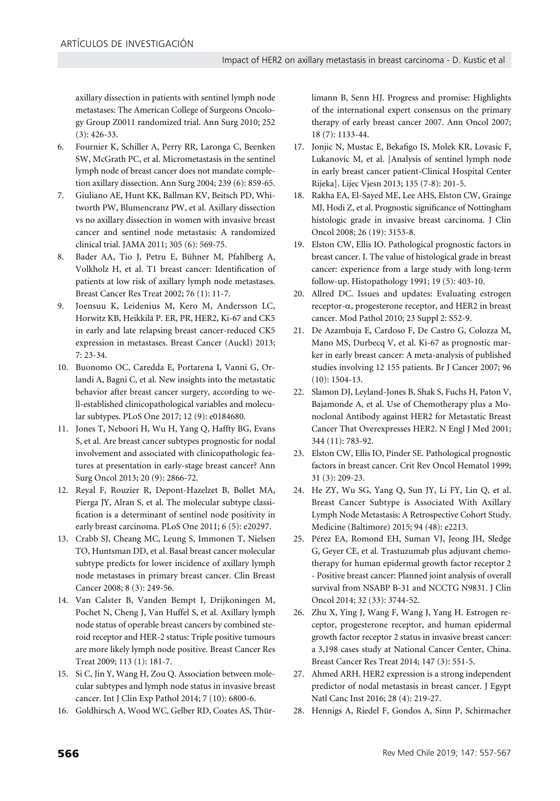axillary dissection in patients with sentinel lymph node metastases: The American College of Surgeons Oncology Group Z0011 randomized trial. Ann Surg 2010; 252 (3): 426-33.

- 6. Fournier K, Schiller A, Perry RR, Laronga C, Beenken SW, McGrath PC, et al. Micrometastasis in the sentinel lymph node of breast cancer does not mandate completion axillary dissection. Ann Surg 2004; 239 (6): 859-65.
- 7. Giuliano AE, Hunt KK, Ballman KV, Beitsch PD, Whitworth PW, Blumencranz PW, et al. Axillary dissection vs no axillary dissection in women with invasive breast cancer and sentinel node metastasis: A randomized clinical trial. JAMA 2011; 305 (6): 569-75.
- 8. Bader AA, Tio J, Petru E, Bühner M, Pfahlberg A, Volkholz H, et al. T1 breast cancer: Identification of patients at low risk of axillary lymph node metastases. Breast Cancer Res Treat 2002; 76 (1): 11-7.
- 9. Joensuu K, Leidenius M, Kero M, Andersson LC, Horwitz KB, Heikkilä P. ER, PR, HER2, Ki-67 and CK5 in early and late relapsing breast cancer-reduced CK5 expression in metastases. Breast Cancer (Auckl) 2013;  $7.23 - 34$
- 10. Buonomo OC, Caredda E, Portarena I, Vanni G, Orlandi A, Bagni C, et al. New insights into the metastatic behavior after breast cancer surgery, according to well-established clinicopathological variables and molecular subtypes. PLoS One 2017; 12 (9): e0184680.
- 11. Jones T, Neboori H, Wu H, Yang Q, Haffty BG, Evans S, et al. Are breast cancer subtypes prognostic for nodal involvement and associated with clinicopathologic features at presentation in early-stage breast cancer? Ann Surg Oncol 2013; 20 (9): 2866-72.
- 12. Reyal F, Rouzier R, Depont-Hazelzet B, Bollet MA, Pierga JY, Alran S, et al. The molecular subtype classification is a determinant of sentinel node positivity in early breast carcinoma. PLoS One 2011; 6 (5): e20297.
- 13. Crabb SJ, Cheang MC, Leung S, Immonen T, Nielsen TO, Huntsman DD, et al. Basal breast cancer molecular subtype predicts for lower incidence of axillary lymph node metastases in primary breast cancer. Clin Breast Cancer 2008; 8 (3): 249-56.
- 14. Van Calster B, Vanden Bempt I, Drijkoningen M, Pochet N, Cheng J, Van Huffel S, et al. Axillary lymph node status of operable breast cancers by combined steroid receptor and HER-2 status: Triple positive tumours are more likely lymph node positive. Breast Cancer Res Treat 2009; 113 (1): 181-7.
- 15. Si C, Jin Y, Wang H, Zou Q. Association between molecular subtypes and lymph node status in invasive breast cancer. Int J Clin Exp Pathol 2014; 7 (10): 6800-6.
- 16. Goldhirsch A, Wood WC, Gelber RD, Coates AS, Thür-

limann B, Senn HJ. Progress and promise: Highlights of the international expert consensus on the primary therapy of early breast cancer 2007. Ann Oncol 2007; 18 (7): 1133-44.

- 17. Jonjic N, Mustac E, Bekafigo IS, Molek KR, Lovasic F, Lukanovic M, et al. [Analysis of sentinel lymph node in early breast cancer patient-Clinical Hospital Center Rijeka]. Lijec Vjesn 2013; 135 (7-8): 201-5.
- 18. Rakha EA, El-Sayed ME, Lee AHS, Elston CW, Grainge MJ, Hodi Z, et al. Prognostic significance of Nottingham histologic grade in invasive breast carcinoma. J Clin Oncol 2008; 26 (19): 3153-8.
- 19. Elston CW, Ellis IO. Pathological prognostic factors in breast cancer. I. The value of histological grade in breast cancer: experience from a large study with long-term follow-up. Histopathology 1991; 19 (5): 403-10.
- 20. Allred DC. Issues and updates: Evaluating estrogen receptor-α, progesterone receptor, and HER2 in breast cancer. Mod Pathol 2010; 23 Suppl 2: S52-9.
- 21. De Azambuja E, Cardoso F, De Castro G, Colozza M, Mano MS, Durbecq V, et al. Ki-67 as prognostic marker in early breast cancer: A meta-analysis of published studies involving 12 155 patients. Br J Cancer 2007; 96 (10): 1504-13.
- 22. Slamon DJ, Leyland-Jones B, Shak S, Fuchs H, Paton V, Bajamonde A, et al. Use of Chemotherapy plus a Monoclonal Antibody against HER2 for Metastatic Breast Cancer That Overexpresses HER2. N Engl J Med 2001; 344 (11): 783-92.
- 23. Elston CW, Ellis IO, Pinder SE. Pathological prognostic factors in breast cancer. Crit Rev Oncol Hematol 1999; 31 (3): 209-23.
- 24. He ZY, Wu SG, Yang Q, Sun JY, Li FY, Lin Q, et al. Breast Cancer Subtype is Associated With Axillary Lymph Node Metastasis: A Retrospective Cohort Study. Medicine (Baltimore) 2015; 94 (48): e2213.
- 25. Pérez EA, Romond EH, Suman VJ, Jeong JH, Sledge G, Geyer CE, et al. Trastuzumab plus adjuvant chemotherapy for human epidermal growth factor receptor 2 - Positive breast cancer: Planned joint analysis of overall survival from NSABP B-31 and NCCTG N9831. J Clin Oncol 2014; 32 (33): 3744-52.
- 26. Zhu X, Ying J, Wang F, Wang J, Yang H. Estrogen receptor, progesterone receptor, and human epidermal growth factor receptor 2 status in invasive breast cancer: a 3,198 cases study at National Cancer Center, China. Breast Cancer Res Treat 2014; 147 (3): 551-5.
- 27. Ahmed ARH. HER2 expression is a strong independent predictor of nodal metastasis in breast cancer. J Egypt Natl Canc Inst 2016; 28 (4): 219-27.
- 28. Hennigs A, Riedel F, Gondos A, Sinn P, Schirmacher